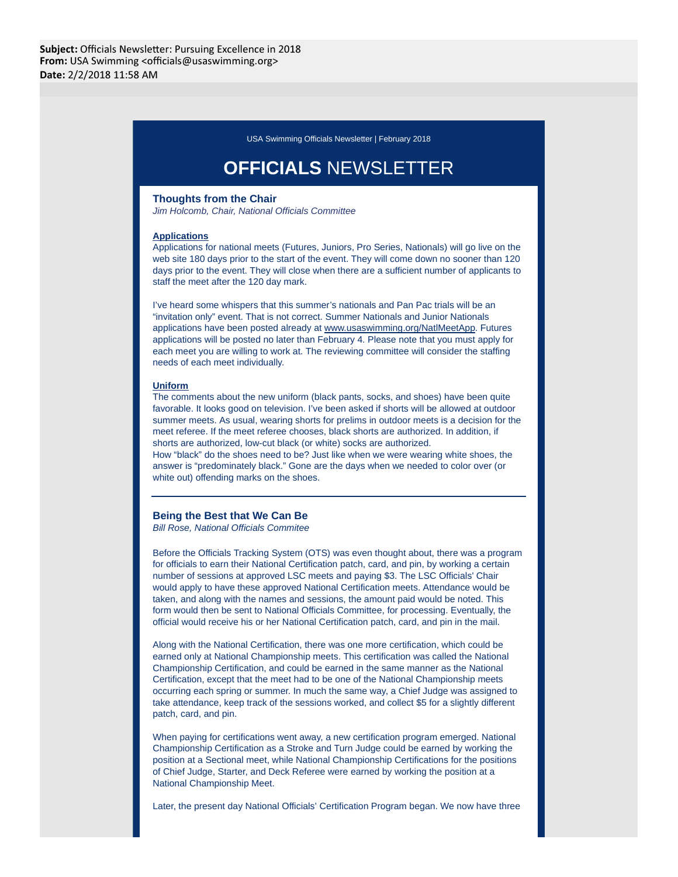USA Swimming Officials Newsletter | February 2018

# **OFFICIALS** NEWSLETTER

# **Thoughts from the Chair**

Jim Holcomb, Chair, National Officials Committee

#### **Applications**

Applications for national meets (Futures, Juniors, Pro Series, Nationals) will go live on the web site 180 days prior to the start of the event. They will come down no sooner than 120 days prior to the event. They will close when there are a sufficient number of applicants to staff the meet after the 120 day mark.

I've heard some whispers that this summer's nationals and Pan Pac trials will be an "invitation only" event. That is not correct. Summer Nationals and Junior Nationals applications have been posted already at www.usaswimming.org/NatlMeetApp. Futures applications will be posted no later than February 4. Please note that you must apply for each meet you are willing to work at. The reviewing committee will consider the staffing needs of each meet individually.

#### **Uniform**

The comments about the new uniform (black pants, socks, and shoes) have been quite favorable. It looks good on television. I've been asked if shorts will be allowed at outdoor summer meets. As usual, wearing shorts for prelims in outdoor meets is a decision for the meet referee. If the meet referee chooses, black shorts are authorized. In addition, if shorts are authorized, low-cut black (or white) socks are authorized. How "black" do the shoes need to be? Just like when we were wearing white shoes, the answer is "predominately black." Gone are the days when we needed to color over (or

#### **Being the Best that We Can Be**

white out) offending marks on the shoes.

Bill Rose, National Officials Commitee

Before the Officials Tracking System (OTS) was even thought about, there was a program for officials to earn their National Certification patch, card, and pin, by working a certain number of sessions at approved LSC meets and paying \$3. The LSC Officials' Chair would apply to have these approved National Certification meets. Attendance would be taken, and along with the names and sessions, the amount paid would be noted. This form would then be sent to National Officials Committee, for processing. Eventually, the official would receive his or her National Certification patch, card, and pin in the mail.

Along with the National Certification, there was one more certification, which could be earned only at National Championship meets. This certification was called the National Championship Certification, and could be earned in the same manner as the National Certification, except that the meet had to be one of the National Championship meets occurring each spring or summer. In much the same way, a Chief Judge was assigned to take attendance, keep track of the sessions worked, and collect \$5 for a slightly different patch, card, and pin.

When paying for certifications went away, a new certification program emerged. National Championship Certification as a Stroke and Turn Judge could be earned by working the position at a Sectional meet, while National Championship Certifications for the positions of Chief Judge, Starter, and Deck Referee were earned by working the position at a National Championship Meet.

Later, the present day National Officials' Certification Program began. We now have three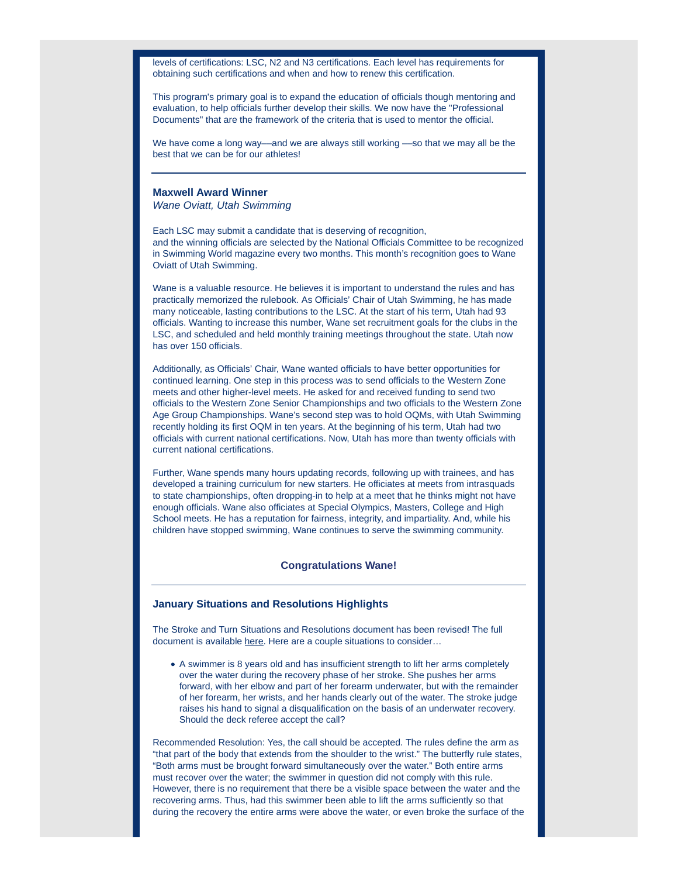levels of certifications: LSC, N2 and N3 certifications. Each level has requirements for obtaining such certifications and when and how to renew this certification.

This program's primary goal is to expand the education of officials though mentoring and evaluation, to help officials further develop their skills. We now have the "Professional Documents" that are the framework of the criteria that is used to mentor the official.

We have come a long way—and we are always still working —so that we may all be the best that we can be for our athletes!

# **Maxwell Award Winner**

Wane Oviatt, Utah Swimming

Each LSC may submit a candidate that is deserving of recognition, and the winning officials are selected by the National Officials Committee to be recognized in Swimming World magazine every two months. This month's recognition goes to Wane Oviatt of Utah Swimming.

Wane is a valuable resource. He believes it is important to understand the rules and has practically memorized the rulebook. As Officials' Chair of Utah Swimming, he has made many noticeable, lasting contributions to the LSC. At the start of his term, Utah had 93 officials. Wanting to increase this number, Wane set recruitment goals for the clubs in the LSC, and scheduled and held monthly training meetings throughout the state. Utah now has over 150 officials.

Additionally, as Officials' Chair, Wane wanted officials to have better opportunities for continued learning. One step in this process was to send officials to the Western Zone meets and other higher-level meets. He asked for and received funding to send two officials to the Western Zone Senior Championships and two officials to the Western Zone Age Group Championships. Wane's second step was to hold OQMs, with Utah Swimming recently holding its first OQM in ten years. At the beginning of his term, Utah had two officials with current national certifications. Now, Utah has more than twenty officials with current national certifications.

Further, Wane spends many hours updating records, following up with trainees, and has developed a training curriculum for new starters. He officiates at meets from intrasquads to state championships, often dropping-in to help at a meet that he thinks might not have enough officials. Wane also officiates at Special Olympics, Masters, College and High School meets. He has a reputation for fairness, integrity, and impartiality. And, while his children have stopped swimming, Wane continues to serve the swimming community.

# **Congratulations Wane!**

# **January Situations and Resolutions Highlights**

The Stroke and Turn Situations and Resolutions document has been revised! The full document is available here. Here are a couple situations to consider…

A swimmer is 8 years old and has insufficient strength to lift her arms completely over the water during the recovery phase of her stroke. She pushes her arms forward, with her elbow and part of her forearm underwater, but with the remainder of her forearm, her wrists, and her hands clearly out of the water. The stroke judge raises his hand to signal a disqualification on the basis of an underwater recovery. Should the deck referee accept the call?

Recommended Resolution: Yes, the call should be accepted. The rules define the arm as "that part of the body that extends from the shoulder to the wrist." The butterfly rule states, "Both arms must be brought forward simultaneously over the water." Both entire arms must recover over the water; the swimmer in question did not comply with this rule. However, there is no requirement that there be a visible space between the water and the recovering arms. Thus, had this swimmer been able to lift the arms sufficiently so that during the recovery the entire arms were above the water, or even broke the surface of the